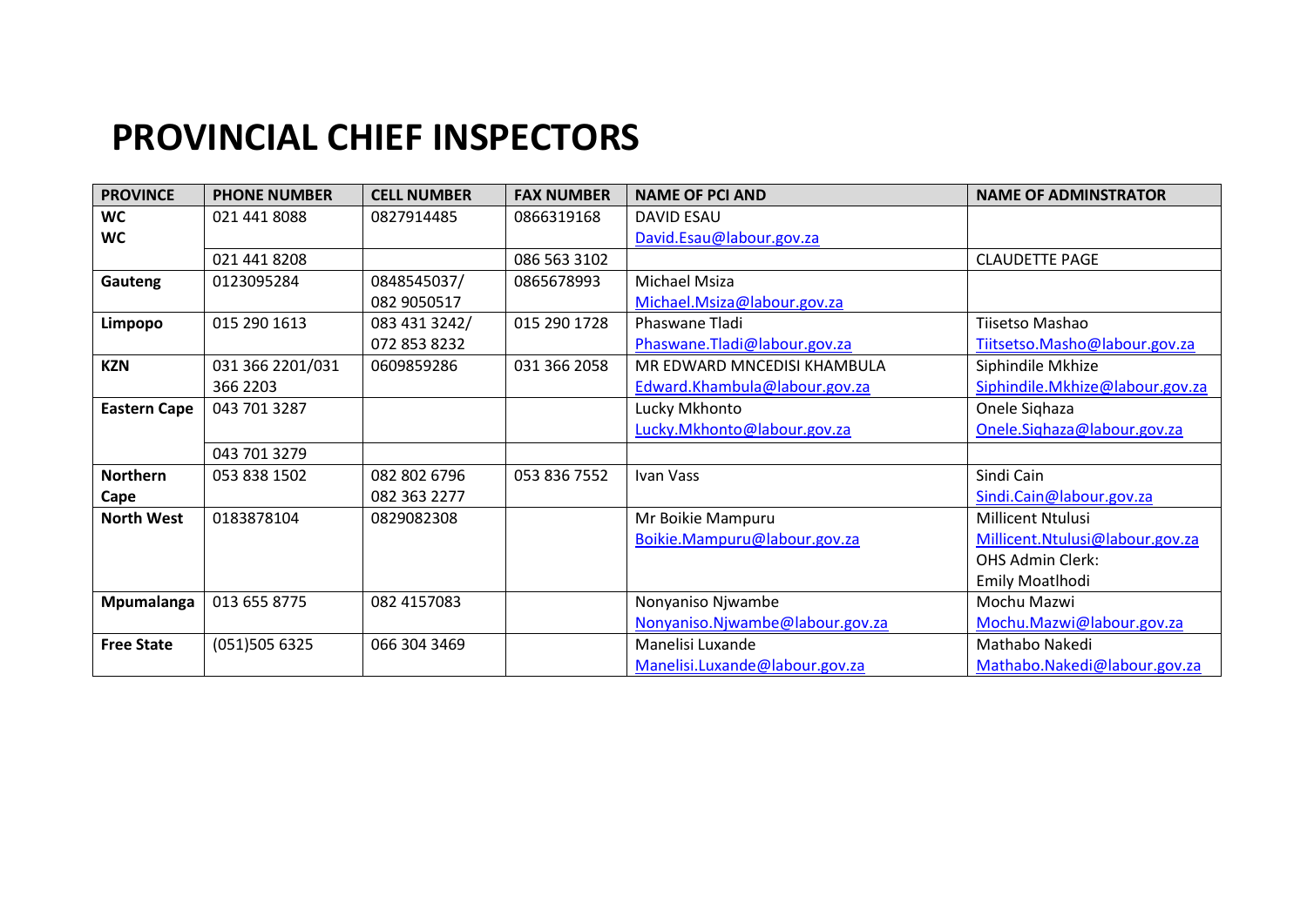## **PROVINCIAL CHIEF INSPECTORS**

| <b>PROVINCE</b>     | <b>PHONE NUMBER</b> | <b>CELL NUMBER</b> | <b>FAX NUMBER</b> | <b>NAME OF PCI AND</b>          | <b>NAME OF ADMINSTRATOR</b>     |
|---------------------|---------------------|--------------------|-------------------|---------------------------------|---------------------------------|
| <b>WC</b>           | 021 441 8088        | 0827914485         | 0866319168        | <b>DAVID ESAU</b>               |                                 |
| WC                  |                     |                    |                   | David.Esau@labour.gov.za        |                                 |
|                     | 021 441 8208        |                    | 086 563 3102      |                                 | <b>CLAUDETTE PAGE</b>           |
| Gauteng             | 0123095284          | 0848545037/        | 0865678993        | <b>Michael Msiza</b>            |                                 |
|                     |                     | 082 9050517        |                   | Michael.Msiza@labour.gov.za     |                                 |
| Limpopo             | 015 290 1613        | 083 431 3242/      | 015 290 1728      | Phaswane Tladi                  | Tiisetso Mashao                 |
|                     |                     | 072 853 8232       |                   | Phaswane. Tladi@labour.gov.za   | Tiitsetso.Masho@labour.gov.za   |
| <b>KZN</b>          | 031 366 2201/031    | 0609859286         | 031 366 2058      | MR EDWARD MNCEDISI KHAMBULA     | Siphindile Mkhize               |
|                     | 366 2203            |                    |                   | Edward.Khambula@labour.gov.za   | Siphindile.Mkhize@labour.gov.za |
| <b>Eastern Cape</b> | 043 701 3287        |                    |                   | Lucky Mkhonto                   | Onele Sighaza                   |
|                     |                     |                    |                   | Lucky.Mkhonto@labour.gov.za     | Onele.Sighaza@labour.gov.za     |
|                     | 043 701 3279        |                    |                   |                                 |                                 |
| <b>Northern</b>     | 053 838 1502        | 082 802 6796       | 053 836 7552      | Ivan Vass                       | Sindi Cain                      |
| Cape                |                     | 082 363 2277       |                   |                                 | Sindi.Cain@labour.gov.za        |
| <b>North West</b>   | 0183878104          | 0829082308         |                   | Mr Boikie Mampuru               | Millicent Ntulusi               |
|                     |                     |                    |                   | Boikie.Mampuru@labour.gov.za    | Millicent.Ntulusi@labour.gov.za |
|                     |                     |                    |                   |                                 | <b>OHS Admin Clerk:</b>         |
|                     |                     |                    |                   |                                 | Emily Moatlhodi                 |
| Mpumalanga          | 013 655 8775        | 082 4157083        |                   | Nonyaniso Njwambe               | Mochu Mazwi                     |
|                     |                     |                    |                   | Nonyaniso.Njwambe@labour.gov.za | Mochu.Mazwi@labour.gov.za       |
| <b>Free State</b>   | (051)505 6325       | 066 304 3469       |                   | Manelisi Luxande                | Mathabo Nakedi                  |
|                     |                     |                    |                   | Manelisi.Luxande@labour.gov.za  | Mathabo.Nakedi@labour.gov.za    |